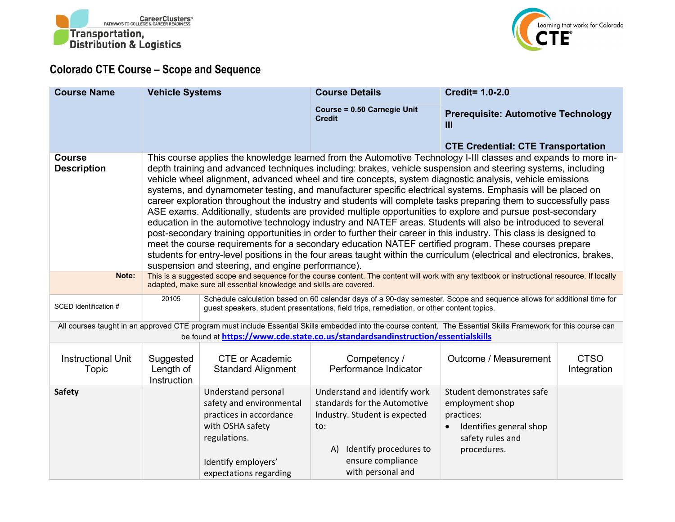



## **Colorado CTE Course – Scope and Sequence**

| <b>Course Name</b>                                                                                                                                                                                                                                  | <b>Vehicle Systems</b>                                                                                                                                                                                                                                                                                                                                                                                                                                                                                                                                                                                                                                                                                                                                                                                                                                                                                                                                                                                                                                                                                                                                                                                                  |                                                                                                                                                                 | <b>Course Details</b>                                                                                                                                                          | <b>Credit= 1.0-2.0</b>                                                                                                   |                            |  |  |
|-----------------------------------------------------------------------------------------------------------------------------------------------------------------------------------------------------------------------------------------------------|-------------------------------------------------------------------------------------------------------------------------------------------------------------------------------------------------------------------------------------------------------------------------------------------------------------------------------------------------------------------------------------------------------------------------------------------------------------------------------------------------------------------------------------------------------------------------------------------------------------------------------------------------------------------------------------------------------------------------------------------------------------------------------------------------------------------------------------------------------------------------------------------------------------------------------------------------------------------------------------------------------------------------------------------------------------------------------------------------------------------------------------------------------------------------------------------------------------------------|-----------------------------------------------------------------------------------------------------------------------------------------------------------------|--------------------------------------------------------------------------------------------------------------------------------------------------------------------------------|--------------------------------------------------------------------------------------------------------------------------|----------------------------|--|--|
|                                                                                                                                                                                                                                                     |                                                                                                                                                                                                                                                                                                                                                                                                                                                                                                                                                                                                                                                                                                                                                                                                                                                                                                                                                                                                                                                                                                                                                                                                                         |                                                                                                                                                                 | <b>Course = 0.50 Carnegie Unit</b><br><b>Credit</b>                                                                                                                            | <b>Prerequisite: Automotive Technology</b><br>Ш                                                                          |                            |  |  |
|                                                                                                                                                                                                                                                     |                                                                                                                                                                                                                                                                                                                                                                                                                                                                                                                                                                                                                                                                                                                                                                                                                                                                                                                                                                                                                                                                                                                                                                                                                         |                                                                                                                                                                 |                                                                                                                                                                                | <b>CTE Credential: CTE Transportation</b>                                                                                |                            |  |  |
| <b>Course</b><br><b>Description</b>                                                                                                                                                                                                                 | This course applies the knowledge learned from the Automotive Technology I-III classes and expands to more in-<br>depth training and advanced techniques including: brakes, vehicle suspension and steering systems, including<br>vehicle wheel alignment, advanced wheel and tire concepts, system diagnostic analysis, vehicle emissions<br>systems, and dynamometer testing, and manufacturer specific electrical systems. Emphasis will be placed on<br>career exploration throughout the industry and students will complete tasks preparing them to successfully pass<br>ASE exams. Additionally, students are provided multiple opportunities to explore and pursue post-secondary<br>education in the automotive technology industry and NATEF areas. Students will also be introduced to several<br>post-secondary training opportunities in order to further their career in this industry. This class is designed to<br>meet the course requirements for a secondary education NATEF certified program. These courses prepare<br>students for entry-level positions in the four areas taught within the curriculum (electrical and electronics, brakes,<br>suspension and steering, and engine performance). |                                                                                                                                                                 |                                                                                                                                                                                |                                                                                                                          |                            |  |  |
| Note:                                                                                                                                                                                                                                               | This is a suggested scope and sequence for the course content. The content will work with any textbook or instructional resource. If locally<br>adapted, make sure all essential knowledge and skills are covered.                                                                                                                                                                                                                                                                                                                                                                                                                                                                                                                                                                                                                                                                                                                                                                                                                                                                                                                                                                                                      |                                                                                                                                                                 |                                                                                                                                                                                |                                                                                                                          |                            |  |  |
| SCED Identification #                                                                                                                                                                                                                               | 20105<br>Schedule calculation based on 60 calendar days of a 90-day semester. Scope and sequence allows for additional time for<br>guest speakers, student presentations, field trips, remediation, or other content topics.                                                                                                                                                                                                                                                                                                                                                                                                                                                                                                                                                                                                                                                                                                                                                                                                                                                                                                                                                                                            |                                                                                                                                                                 |                                                                                                                                                                                |                                                                                                                          |                            |  |  |
| All courses taught in an approved CTE program must include Essential Skills embedded into the course content. The Essential Skills Framework for this course can<br>be found at https://www.cde.state.co.us/standardsandinstruction/essentialskills |                                                                                                                                                                                                                                                                                                                                                                                                                                                                                                                                                                                                                                                                                                                                                                                                                                                                                                                                                                                                                                                                                                                                                                                                                         |                                                                                                                                                                 |                                                                                                                                                                                |                                                                                                                          |                            |  |  |
| <b>Instructional Unit</b><br><b>Topic</b>                                                                                                                                                                                                           | Suggested<br>Length of<br>Instruction                                                                                                                                                                                                                                                                                                                                                                                                                                                                                                                                                                                                                                                                                                                                                                                                                                                                                                                                                                                                                                                                                                                                                                                   | <b>CTE or Academic</b><br><b>Standard Alignment</b>                                                                                                             | Competency /<br>Performance Indicator                                                                                                                                          | Outcome / Measurement                                                                                                    | <b>CTSO</b><br>Integration |  |  |
| <b>Safety</b>                                                                                                                                                                                                                                       |                                                                                                                                                                                                                                                                                                                                                                                                                                                                                                                                                                                                                                                                                                                                                                                                                                                                                                                                                                                                                                                                                                                                                                                                                         | Understand personal<br>safety and environmental<br>practices in accordance<br>with OSHA safety<br>regulations.<br>Identify employers'<br>expectations regarding | Understand and identify work<br>standards for the Automotive<br>Industry. Student is expected<br>to:<br>Identify procedures to<br>A)<br>ensure compliance<br>with personal and | Student demonstrates safe<br>employment shop<br>practices:<br>Identifies general shop<br>safety rules and<br>procedures. |                            |  |  |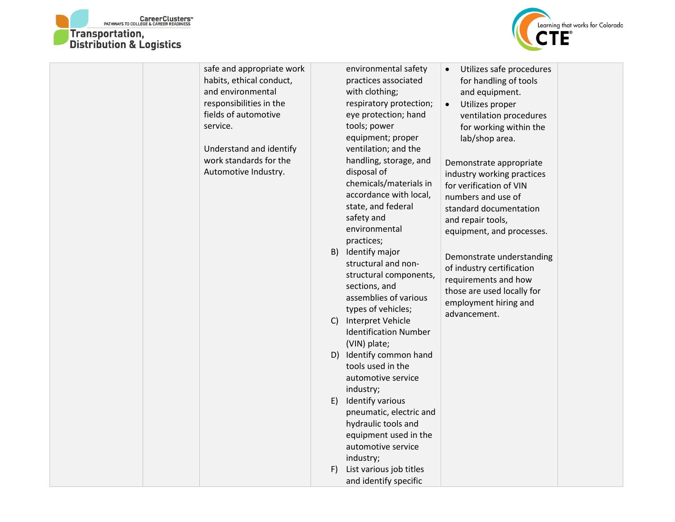



| habits, ethical conduct,<br>and environmental<br>responsibilities in the<br>fields of automotive<br>service.<br>Understand and identify<br>work standards for the<br>Automotive Industry. | practices associated<br>for handling of tools<br>with clothing;<br>and equipment.<br>respiratory protection;<br>Utilizes proper<br>$\bullet$<br>eye protection; hand<br>ventilation procedures<br>tools; power<br>for working within the<br>equipment; proper<br>lab/shop area.<br>ventilation; and the<br>handling, storage, and<br>Demonstrate appropriate<br>disposal of<br>industry working practices<br>chemicals/materials in<br>for verification of VIN<br>accordance with local,<br>numbers and use of<br>state, and federal<br>standard documentation<br>safety and<br>and repair tools,<br>environmental<br>equipment, and processes.<br>practices;<br>B)<br>Identify major<br>Demonstrate understanding<br>structural and non-<br>of industry certification<br>structural components,<br>requirements and how<br>sections, and<br>those are used locally for<br>assemblies of various<br>employment hiring and<br>types of vehicles;<br>advancement.<br>Interpret Vehicle<br>C)<br><b>Identification Number</b> |
|-------------------------------------------------------------------------------------------------------------------------------------------------------------------------------------------|----------------------------------------------------------------------------------------------------------------------------------------------------------------------------------------------------------------------------------------------------------------------------------------------------------------------------------------------------------------------------------------------------------------------------------------------------------------------------------------------------------------------------------------------------------------------------------------------------------------------------------------------------------------------------------------------------------------------------------------------------------------------------------------------------------------------------------------------------------------------------------------------------------------------------------------------------------------------------------------------------------------------------|
|-------------------------------------------------------------------------------------------------------------------------------------------------------------------------------------------|----------------------------------------------------------------------------------------------------------------------------------------------------------------------------------------------------------------------------------------------------------------------------------------------------------------------------------------------------------------------------------------------------------------------------------------------------------------------------------------------------------------------------------------------------------------------------------------------------------------------------------------------------------------------------------------------------------------------------------------------------------------------------------------------------------------------------------------------------------------------------------------------------------------------------------------------------------------------------------------------------------------------------|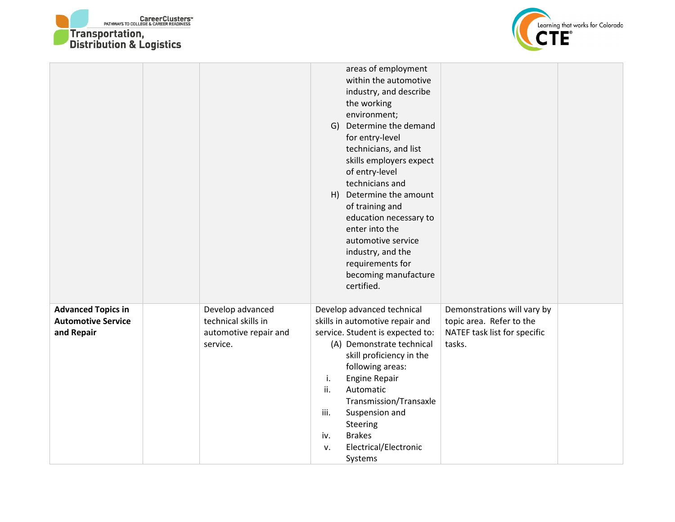



|                                                                      |                                                                              | areas of employment<br>within the automotive<br>industry, and describe<br>the working<br>environment;<br>G) Determine the demand<br>for entry-level<br>technicians, and list<br>skills employers expect<br>of entry-level<br>technicians and<br>H) Determine the amount<br>of training and<br>education necessary to<br>enter into the<br>automotive service<br>industry, and the<br>requirements for<br>becoming manufacture<br>certified.                             |  |
|----------------------------------------------------------------------|------------------------------------------------------------------------------|-------------------------------------------------------------------------------------------------------------------------------------------------------------------------------------------------------------------------------------------------------------------------------------------------------------------------------------------------------------------------------------------------------------------------------------------------------------------------|--|
| <b>Advanced Topics in</b><br><b>Automotive Service</b><br>and Repair | Develop advanced<br>technical skills in<br>automotive repair and<br>service. | Develop advanced technical<br>Demonstrations will vary by<br>skills in automotive repair and<br>topic area. Refer to the<br>NATEF task list for specific<br>service. Student is expected to:<br>(A) Demonstrate technical<br>tasks.<br>skill proficiency in the<br>following areas:<br><b>Engine Repair</b><br>i.<br>ii.<br>Automatic<br>Transmission/Transaxle<br>iii.<br>Suspension and<br>Steering<br><b>Brakes</b><br>iv.<br>Electrical/Electronic<br>v.<br>Systems |  |